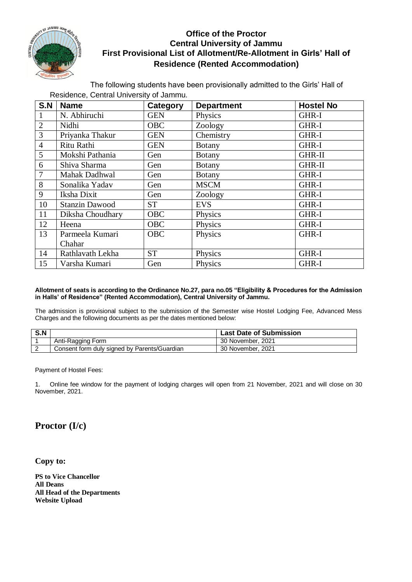

## **Office of the Proctor Central University of Jammu First Provisional List of Allotment/Re-Allotment in Girls' Hall of Residence (Rented Accommodation)**

The following students have been provisionally admitted to the Girls' Hall of Residence, Central University of Jammu.

| S.N            | <b>Name</b>           | Category   | <b>Department</b> | <b>Hostel No</b> |
|----------------|-----------------------|------------|-------------------|------------------|
| 1              | N. Abhiruchi          | <b>GEN</b> | Physics           | GHR-I            |
| $\overline{2}$ | Nidhi                 | <b>OBC</b> | Zoology           | GHR-I            |
| $\overline{3}$ | Priyanka Thakur       | <b>GEN</b> | Chemistry         | GHR-I            |
| $\overline{4}$ | Ritu Rathi            | <b>GEN</b> | <b>Botany</b>     | GHR-I            |
| 5              | Mokshi Pathania       | Gen        | <b>Botany</b>     | <b>GHR-II</b>    |
| 6              | Shiva Sharma          | Gen        | <b>Botany</b>     | <b>GHR-II</b>    |
| $\overline{7}$ | Mahak Dadhwal         | Gen        | <b>Botany</b>     | GHR-I            |
| 8              | Sonalika Yadav        | Gen        | <b>MSCM</b>       | GHR-I            |
| 9              | Iksha Dixit           | Gen        | Zoology           | GHR-I            |
| 10             | <b>Stanzin Dawood</b> | <b>ST</b>  | <b>EVS</b>        | GHR-I            |
| 11             | Diksha Choudhary      | <b>OBC</b> | Physics           | GHR-I            |
| 12             | Heena                 | <b>OBC</b> | Physics           | GHR-I            |
| 13             | Parmeela Kumari       | <b>OBC</b> | Physics           | GHR-I            |
|                | Chahar                |            |                   |                  |
| 14             | Rathlavath Lekha      | <b>ST</b>  | Physics           | GHR-I            |
| 15             | Varsha Kumari         | Gen        | Physics           | GHR-I            |

## **Allotment of seats is according to the Ordinance No.27, para no.05 "Eligibility & Procedures for the Admission in Halls' of Residence" (Rented Accommodation), Central University of Jammu.**

The admission is provisional subject to the submission of the Semester wise Hostel Lodging Fee, Advanced Mess Charges and the following documents as per the dates mentioned below:

| S.N |                                              | <b>Last Date of Submission</b> |
|-----|----------------------------------------------|--------------------------------|
|     | Anti-Ragging Form                            | 30 November, 2021              |
|     | Consent form duly signed by Parents/Guardian | 30 November, 2021              |

Payment of Hostel Fees:

1. Online fee window for the payment of lodging charges will open from 21 November, 2021 and will close on 30 November, 2021.

## **Proctor (I/c)**

**Copy to:**

**PS to Vice Chancellor All Deans All Head of the Departments Website Upload**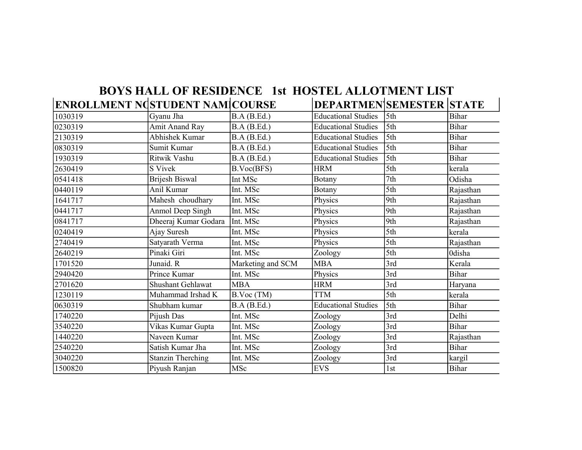|                                 | <b>BOYS HALL OF RESIDENCE 1st HOSTEL ALLOTMENT LIST</b> |                   |                                |     |               |
|---------------------------------|---------------------------------------------------------|-------------------|--------------------------------|-----|---------------|
| ENROLLMENT NGSTUDENT NAM COURSE |                                                         |                   | <b>DEPARTMENSEMESTER STATE</b> |     |               |
| 1030319                         | Gyanu Jha                                               | B.A(B.Ed.)        | <b>Educational Studies</b>     | 5th | <b>Bihar</b>  |
| 0230319                         | <b>Amit Anand Ray</b>                                   | B.A(B.Ed.)        | <b>Educational Studies</b>     | 5th | <b>Bihar</b>  |
| 2130319                         | <b>Abhishek Kumar</b>                                   | B.A(B.Ed.)        | <b>Educational Studies</b>     | 5th | <b>Bihar</b>  |
| 0830319                         | Sumit Kumar                                             | B.A(B.Ed.)        | <b>Educational Studies</b>     | 5th | <b>Bihar</b>  |
| 1930319                         | Ritwik Vashu                                            | B.A(B.Ed.)        | <b>Educational Studies</b>     | 5th | <b>Bihar</b>  |
| 2630419                         | S Vivek                                                 | B.Voc(BFS)        | <b>HRM</b>                     | 5th | kerala        |
| 0541418                         | Brijesh Biswal                                          | Int MSc           | Botany                         | 7th | Odisha        |
| 0440119                         | Anil Kumar                                              | Int. MSc          | Botany                         | 5th | Rajasthan     |
| 1641717                         | Mahesh choudhary                                        | Int. MSc          | Physics                        | 9th | Rajasthan     |
| 0441717                         | Anmol Deep Singh                                        | Int. MSc          | Physics                        | 9th | Rajasthan     |
| 0841717                         | Dheeraj Kumar Godara                                    | Int. MSc          | Physics                        | 9th | Rajasthan     |
| 0240419                         | Ajay Suresh                                             | Int. MSc          | Physics                        | 5th | kerala        |
| 2740419                         | Satyarath Verma                                         | Int. MSc          | Physics                        | 5th | Rajasthan     |
| 2640219                         | Pinaki Giri                                             | Int. MSc          | Zoology                        | 5th | <b>Odisha</b> |
| 1701520                         | Junaid. R                                               | Marketing and SCM | <b>MBA</b>                     | 3rd | Kerala        |
| 2940420                         | Prince Kumar                                            | Int. MSc          | Physics                        | 3rd | <b>Bihar</b>  |
| 2701620                         | <b>Shushant Gehlawat</b>                                | <b>MBA</b>        | <b>HRM</b>                     | 3rd | Haryana       |
| 1230119                         | Muhammad Irshad K                                       | B.Voc (TM)        | <b>TTM</b>                     | 5th | kerala        |
| 0630319                         | Shubham kumar                                           | B.A(B.Ed.)        | <b>Educational Studies</b>     | 5th | <b>Bihar</b>  |
| 1740220                         | Pijush Das                                              | Int. MSc          | Zoology                        | 3rd | Delhi         |
| 3540220                         | Vikas Kumar Gupta                                       | Int. MSc          | Zoology                        | 3rd | Bihar         |
| 1440220                         | Naveen Kumar                                            | Int. MSc          | Zoology                        | 3rd | Rajasthan     |
| 2540220                         | Satish Kumar Jha                                        | Int. MSc          | Zoology                        | 3rd | <b>Bihar</b>  |
| 3040220                         | <b>Stanzin Therching</b>                                | Int. MSc          | Zoology                        | 3rd | kargil        |
| 1500820                         | Piyush Ranjan                                           | MSc               | <b>EVS</b>                     | 1st | <b>Bihar</b>  |